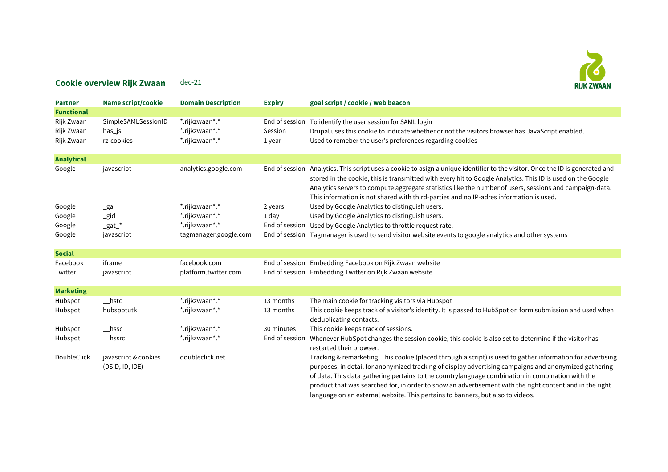## $\mathcal{E}$ **RIJK ZWAAN**

## Cookie overview Rijk Zwaan dec-21

| <b>Partner</b>                         | <b>Name script/cookie</b>                   | <b>Domain Description</b>                          | <b>Expiry</b>                       | goal script / cookie / web beacon                                                                                                                                                                                                                                                                                                                                                                                                                 |
|----------------------------------------|---------------------------------------------|----------------------------------------------------|-------------------------------------|---------------------------------------------------------------------------------------------------------------------------------------------------------------------------------------------------------------------------------------------------------------------------------------------------------------------------------------------------------------------------------------------------------------------------------------------------|
| <b>Functional</b>                      |                                             |                                                    |                                     |                                                                                                                                                                                                                                                                                                                                                                                                                                                   |
| Rijk Zwaan<br>Rijk Zwaan<br>Rijk Zwaan | SimpleSAMLSessionID<br>has_js<br>rz-cookies | *.rijkzwaan*.*<br>*.rijkzwaan*.*<br>*.rijkzwaan*.* | End of session<br>Session<br>1 year | To identify the user session for SAML login<br>Drupal uses this cookie to indicate whether or not the visitors browser has JavaScript enabled.<br>Used to remeber the user's preferences regarding cookies                                                                                                                                                                                                                                        |
| <b>Analytical</b>                      |                                             |                                                    |                                     |                                                                                                                                                                                                                                                                                                                                                                                                                                                   |
| Google                                 | javascript                                  | analytics.google.com                               |                                     | End of session Analytics. This script uses a cookie to asign a unique identifier to the visitor. Once the ID is generated and<br>stored in the cookie, this is transmitted with every hit to Google Analytics. This ID is used on the Google<br>Analytics servers to compute aggregate statistics like the number of users, sessions and campaign-data.<br>This information is not shared with third-parties and no IP-adres information is used. |
| Google                                 | $_{\text{g}a}$                              | *.rijkzwaan*.*                                     | 2 years                             | Used by Google Analytics to distinguish users.                                                                                                                                                                                                                                                                                                                                                                                                    |
| Google                                 | $\_gid$                                     | *.rijkzwaan*.*                                     | 1 day                               | Used by Google Analytics to distinguish users.                                                                                                                                                                                                                                                                                                                                                                                                    |
| Google                                 | $\_$ gat $\_$ *                             | *.rijkzwaan*.*                                     |                                     | End of session Used by Google Analytics to throttle request rate.                                                                                                                                                                                                                                                                                                                                                                                 |
| Google                                 | javascript                                  | tagmanager.google.com                              |                                     | End of session Tagmanager is used to send visitor website events to google analytics and other systems                                                                                                                                                                                                                                                                                                                                            |
| <b>Social</b>                          |                                             |                                                    |                                     |                                                                                                                                                                                                                                                                                                                                                                                                                                                   |
| Facebook                               | iframe                                      | facebook.com                                       |                                     | End of session Embedding Facebook on Rijk Zwaan website                                                                                                                                                                                                                                                                                                                                                                                           |
| Twitter                                | javascript                                  | platform.twitter.com                               |                                     | End of session Embedding Twitter on Rijk Zwaan website                                                                                                                                                                                                                                                                                                                                                                                            |
| <b>Marketing</b>                       |                                             |                                                    |                                     |                                                                                                                                                                                                                                                                                                                                                                                                                                                   |
| Hubspot                                | $_{\rm \_hstc}$                             | *.rijkzwaan*.*                                     | 13 months                           | The main cookie for tracking visitors via Hubspot                                                                                                                                                                                                                                                                                                                                                                                                 |
| Hubspot                                | hubspotutk                                  | *.rijkzwaan*.*                                     | 13 months                           | This cookie keeps track of a visitor's identity. It is passed to HubSpot on form submission and used when<br>deduplicating contacts.                                                                                                                                                                                                                                                                                                              |
| Hubspot                                | $_{\rm -}$ hssc                             | *.rijkzwaan*.*                                     | 30 minutes                          | This cookie keeps track of sessions.                                                                                                                                                                                                                                                                                                                                                                                                              |
| Hubspot                                | $_{\rm -}$ hssrc                            | *.rijkzwaan*.*                                     | End of session                      | Whenever HubSpot changes the session cookie, this cookie is also set to determine if the visitor has<br>restarted their browser.                                                                                                                                                                                                                                                                                                                  |
| DoubleClick                            | javascript & cookies<br>(DSID, ID, IDE)     | doubleclick.net                                    |                                     | Tracking & remarketing. This cookie (placed through a script) is used to gather information for advertising<br>purposes, in detail for anonymized tracking of display advertising campaigns and anonymized gathering<br>of data. This data gathering pertains to the countrylanguage combination in combination with the<br>product that was searched for, in order to show an advertisement with the right content and in the right              |

language on an external website. This pertains to banners, but also to videos.